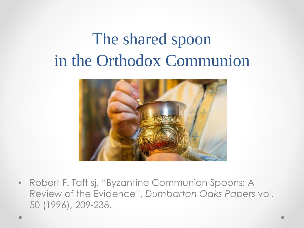## The shared spoon in the Orthodox Communion



• Robert F. Taft sj, "Byzantine Communion Spoons: A Review of the Evidence", *Dumbarton Oaks Papers* vol. 50 (1996), 209-238.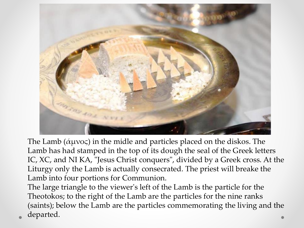

The Lamb ( $\alpha\mu\nu$ o $\varsigma$ ) in the midle and particles placed on the diskos. The Lamb has had stamped in the top of its dough the seal of the Greek letters IC, XC, and NI KA, "Jesus Christ conquers", divided by a Greek cross. At the Liturgy only the Lamb is actually consecrated. The priest will breake the Lamb into four portions for Communion.

The large triangle to the viewer's left of the Lamb is the particle for the Theotokos; to the right of the Lamb are the particles for the nine ranks (saints); below the Lamb are the particles commemorating the living and the departed.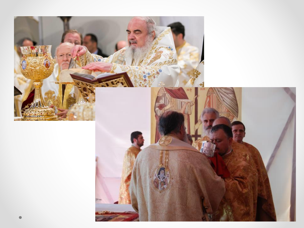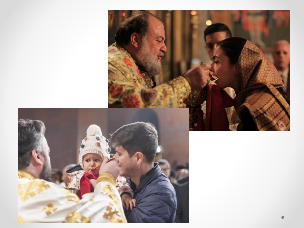